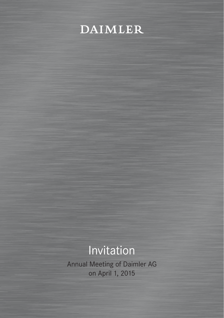

# Invitation

Annual Meeting of Daimler AG on April 1, 2015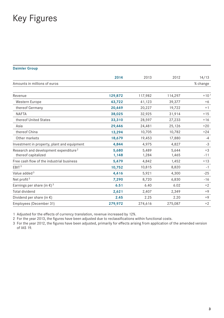# Key Figures

#### **Daimler Group**

|                                                                          | 2014           | 2013           | 2012           | 14/13         |
|--------------------------------------------------------------------------|----------------|----------------|----------------|---------------|
| Amounts in millions of euros                                             |                |                |                | % change      |
| Revenue                                                                  | 129,872        | 117,982        | 114,297        | $+101$        |
| Western Europe                                                           | 43,722         | 41,123         | 39,377         | $+6$          |
| thereof Germany                                                          | 20,449         | 20,227         | 19,722         | $+1$          |
| <b>NAFTA</b>                                                             | 38,025         | 32,925         | 31,914         | $+15$         |
| thereof United States                                                    | 33,310         | 28,597         | 27,233         | $+16$         |
| Asia                                                                     | 29,446         | 24,481         | 25,126         | $+20$         |
| thereof China                                                            | 13,294         | 10,705         | 10,782         | $+24$         |
| Other markets                                                            | 18,679         | 19,453         | 17,880         | $-4$          |
| Investment in property, plant and equipment                              | 4,844          | 4,975          | 4,827          | $-3$          |
| Research and development expenditure <sup>2</sup><br>thereof capitalized | 5,680<br>1,148 | 5,489<br>1,284 | 5,644<br>1,465 | $+3$<br>$-11$ |
| Free cash flow of the industrial business                                | 5,479          | 4,842          | 1,452          | $+13$         |
| EBIT <sup>3</sup>                                                        | 10,752         | 10,815         | 8,820          | $-1$          |
| Value added <sup>3</sup>                                                 | 4,416          | 5,921          | 4,300          | $-25$         |
| Net profit <sup>3</sup>                                                  | 7,290          | 8,720          | 6,830          | $-16$         |
| Earnings per share (in $\epsilon$ ) <sup>3</sup>                         | 6.51           | 6.40           | 6.02           | $+2$          |
| <b>Total dividend</b>                                                    | 2,621          | 2,407          | 2,349          | $+9$          |
| Dividend per share (in $\epsilon$ )                                      | 2.45           | 2.25           | 2.20           | $+9$          |
| Employees (December 31)                                                  | 279,972        | 274,616        | 275,087        | $+2$          |

1 Adjusted for the effects of currency translation, revenue increased by 12%.

2 For the year 2013, the figures have been adjusted due to reclassifications within functional costs.

3 For the year 2012, the figures have been adjusted, primarily for effects arising from application of the amended version of IAS 19.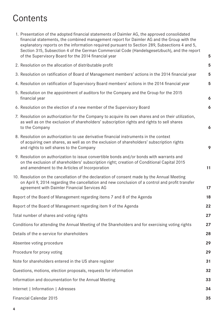# **Contents**

| 1. Presentation of the adopted financial statements of Daimler AG, the approved consolidated<br>financial statements, the combined management report for Daimler AG and the Group with the<br>explanatory reports on the information required pursuant to Section 289, Subsections 4 and 5,<br>Section 315, Subsection 4 of the German Commercial Code (Handelsgesetzbuch), and the report<br>of the Supervisory Board for the 2014 financial year | 5  |  |
|----------------------------------------------------------------------------------------------------------------------------------------------------------------------------------------------------------------------------------------------------------------------------------------------------------------------------------------------------------------------------------------------------------------------------------------------------|----|--|
| 2. Resolution on the allocation of distributable profit                                                                                                                                                                                                                                                                                                                                                                                            | 5  |  |
| 3. Resolution on ratification of Board of Management members' actions in the 2014 financial year                                                                                                                                                                                                                                                                                                                                                   |    |  |
| 4. Resolution on ratification of Supervisory Board members' actions in the 2014 financial year                                                                                                                                                                                                                                                                                                                                                     |    |  |
| 5. Resolution on the appointment of auditors for the Company and the Group for the 2015<br>financial year                                                                                                                                                                                                                                                                                                                                          |    |  |
| 6. Resolution on the election of a new member of the Supervisory Board                                                                                                                                                                                                                                                                                                                                                                             | 6  |  |
| 7. Resolution on authorization for the Company to acquire its own shares and on their utilization,<br>as well as on the exclusion of shareholders' subscription rights and rights to sell shares<br>to the Company                                                                                                                                                                                                                                 |    |  |
| 8. Resolution on authorization to use derivative financial instruments in the context<br>of acquiring own shares, as well as on the exclusion of shareholders' subscription rights<br>and rights to sell shares to the Company                                                                                                                                                                                                                     | 9  |  |
| 9. Resolution on authorization to issue convertible bonds and/or bonds with warrants and<br>on the exclusion of shareholders' subscription right; creation of Conditional Capital 2015<br>and amendment to the Articles of Incorporation                                                                                                                                                                                                           | 11 |  |
| 10. Resolution on the cancellation of the declaration of consent made by the Annual Meeting<br>on April 9, 2014 regarding the cancellation and new conclusion of a control and profit transfer<br>agreement with Daimler Financial Services AG                                                                                                                                                                                                     | 17 |  |
| Report of the Board of Management regarding items 7 and 8 of the Agenda                                                                                                                                                                                                                                                                                                                                                                            | 18 |  |
| Report of the Board of Management regarding item 9 of the Agenda                                                                                                                                                                                                                                                                                                                                                                                   | 22 |  |
| Total number of shares and voting rights                                                                                                                                                                                                                                                                                                                                                                                                           | 27 |  |
| Conditions for attending the Annual Meeting of the Shareholders and for exercising voting rights                                                                                                                                                                                                                                                                                                                                                   | 27 |  |
| Details of the e-service for shareholders                                                                                                                                                                                                                                                                                                                                                                                                          | 28 |  |
| Absentee voting procedure                                                                                                                                                                                                                                                                                                                                                                                                                          | 29 |  |
| Procedure for proxy voting                                                                                                                                                                                                                                                                                                                                                                                                                         | 29 |  |
| Note for shareholders entered in the US share register                                                                                                                                                                                                                                                                                                                                                                                             | 31 |  |
| Questions, motions, election proposals, requests for information                                                                                                                                                                                                                                                                                                                                                                                   | 32 |  |
| Information and documentation for the Annual Meeting                                                                                                                                                                                                                                                                                                                                                                                               |    |  |
| Internet   Information   Adresses                                                                                                                                                                                                                                                                                                                                                                                                                  |    |  |
| Financial Calendar 2015                                                                                                                                                                                                                                                                                                                                                                                                                            | 35 |  |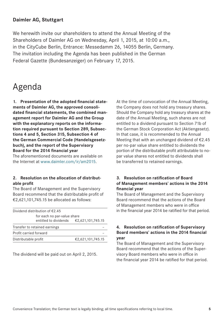#### <span id="page-3-0"></span>**Daimler AG, Stuttgart**

We herewith invite our shareholders to attend the Annual Meeting of the Shareholders of Daimler AG on Wednesday, April 1, 2015, at 10:00 a.m., in the CityCube Berlin, Entrance: Messedamm 26, 14055 Berlin, Germany. The invitation including the Agenda has been published in the German Federal Gazette (Bundesanzeiger) on February 17, 2015.

### Agenda

**1. Presentation of the adopted financial statements of Daimler AG, the approved consolidated financial statements, the combined management report for Daimler AG and the Group with the explanatory reports on the information required pursuant to Section 289, Subsections 4 and 5, Section 315, Subsection 4 of the German Commercial Code (Handelsgesetzbuch), and the report of the Supervisory Board for the 2014 financial year** 

The aforementioned documents are available on the Internet at www.daimler.com/ir/am2015.

#### **2. Resolution on the allocation of distributable profit**

The Board of Management and the Supervisory Board recommend that the distributable profit of €2,621,101,745.15 be allocated as follows:

| Dividend distribution of $E$ 2.45 |                                                   |  |  |  |
|-----------------------------------|---------------------------------------------------|--|--|--|
| for each no par-value share       |                                                   |  |  |  |
|                                   | entitled to dividends $\epsilon$ 2,621,101,745.15 |  |  |  |
| Transfer to retained earnings     |                                                   |  |  |  |
| Profit carried forward            |                                                   |  |  |  |
| Distributable profit              | €2,621,101,745.15                                 |  |  |  |
|                                   |                                                   |  |  |  |

The dividend will be paid out on April 2, 2015.

At the time of convocation of the Annual Meeting, the Company does not hold any treasury shares. Should the Company hold any treasury shares at the date of the Annual Meeting, such shares are not entitled to a dividend pursuant to Section 71b of the German Stock Corporation Act (Aktiengesetz). In that case, it is recommended to the Annual Meeting that with an unchanged dividend of €2.45 per no-par value share entitled to dividends the portion of the distributable profit attributable to nopar value shares not entitled to dividends shall be transferred to retained earnings.

#### **3. Resolution on ratification of Board of Management members' actions in the 2014 financial year**

The Board of Management and the Supervisory Board recommend that the actions of the Board of Management members who were in office in the financial year 2014 be ratified for that period.

#### **4. Resolution on ratification of Supervisory Board members' actions in the 2014 financial year**

The Board of Management and the Supervisory Board recommend that the actions of the Supervisory Board members who were in office in the financial year 2014 be ratified for that period.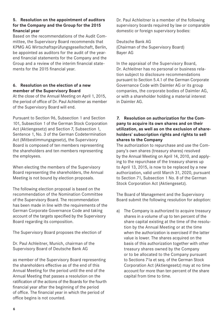#### <span id="page-4-0"></span>**5. Resolution on the appointment of auditors for the Company and the Group for the 2015 financial year**

Based on the recommendations of the Audit Committee, the Supervisory Board recommends that KPMG AG Wirtschaftsprüfungsgesellschaft, Berlin, be appointed as auditors for the audit of the yearend financial statements for the Company and the Group and a review of the interim financial statements for the 2015 financial year.

#### **6. Resolution on the election of a new member of the Supervisory Board**

At the close of the Annual Meeting on April 1, 2015, the period of office of Dr. Paul Achleitner as member of the Supervisory Board will end.

Pursuant to Section 96, Subsection 1 and Section 101, Subsection 1 of the German Stock Corporation Act (Aktiengesetz) and Section 7, Subsection 1, Sentence 1, No. 3 of the German Codetermination Act (Mitbestimmungsgesetz), the Supervisory Board is composed of ten members representing the shareholders and ten members representing the employees.

When electing the members of the Supervisory Board representing the shareholders, the Annual Meeting is not bound by election proposals.

The following election proposal is based on the recommendation of the Nomination Committee of the Supervisory Board. The recommendation has been made in line with the requirements of the German Corporate Governance Code and taking account of the targets specified by the Supervisory Board regarding its composition.

The Supervisory Board proposes the election of

Dr. Paul Achleitner, Munich, chairman of the Supervisory Board of Deutsche Bank AG

as member of the Supervisory Board representing the shareholders effective as of the end of this Annual Meeting for the period until the end of the Annual Meeting that passes a resolution on the ratification of the actions of the Boards for the fourth financial year after the beginning of the period of office. The financial year in which the period of office begins is not counted.

Dr. Paul Achleitner is a member of the following supervisory boards required by law or comparable domestic or foreign supervisory bodies:

Deutsche Bank AG (Chairman of the Supervisory Board) Bayer AG

In the appraisal of the Supervisory Board, Dr. Achleitner has no personal or business relation subject to disclosure recommendations pursuant to Section 5.4.1 of the German Corporate Governance Code with Daimler AG or its group companies, the corporate bodies of Daimler AG, or with a shareholder holding a material interest in Daimler AG.

#### **7. Resolution on authorization for the Company to acquire its own shares and on their utilization, as well as on the exclusion of shareholders' subscription rights and rights to sell shares to the Company**

The authorization to repurchase and use the Company's own shares (treasury shares) resolved by the Annual Meeting on April 14, 2010, and applying to the repurchase of the treasury shares up to April 13, 2015, is now to be replaced by a new authorization, valid until March 31, 2020, pursuant to Section 71, Subsection 1 No. 8 of the German Stock Corporation Act (Aktiengesetz).

The Board of Management and the Supervisory Board submit the following resolution for adoption:

a) The Company is authorized to acquire treasury shares in a volume of up to ten percent of the share capital existing at the time of the resolution by the Annual Meeting or at the time when the authorization is exercised if the latter value is lower. The shares acquired on the basis of this authorization together with other treasury shares owned by the Company or to be allocated to the Company pursuant to Sections 71a et seq. of the German Stock Corporation Act (Aktiengesetz) may at no time account for more than ten percent of the share capital from time to time.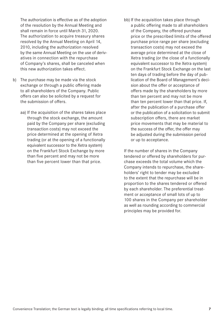The authorization is effective as of the adoption of the resolution by the Annual Meeting and shall remain in force until March 31, 2020. The authorization to acquire treasury shares resolved by the Annual Meeting on April 14, 2010, including the authorization resolved by the same Annual Meeting on the use of derivatives in connection with the repurchase of Company's shares, shall be canceled when this new authorization takes effect.

- b) The purchase may be made via the stock exchange or through a public offering made to all shareholders of the Company. Public offers can also be solicited by a request for the submission of offers.
	- aa) If the acquisition of the shares takes place through the stock exchange, the amount paid by the Company per share (excluding transaction costs) may not exceed the price determined at the opening of Xetra trading (or at the opening of a functionally equivalent successor to the Xetra system) on the Frankfurt Stock Exchange by more than five percent and may not be more than five percent lower than that price.
- bb) If the acquisition takes place through a public offering made to all shareholders of the Company, the offered purchase price or the prescribed limits of the offered purchase price range per share (excluding transaction costs) may not exceed the average price determined at the close of Xetra trading (or the close of a functionally equivalent successor to the Xetra system) on the Frankfurt Stock Exchange on the last ten days of trading before the day of publication of the Board of Management's decision about the offer or acceptance of offers made by the shareholders by more than ten percent and may not be more than ten percent lower than that price. If, after the publication of a purchase offer or the publication of a solicitation to submit subscription offers, there are market price movements that may be material to the success of the offer, the offer may be adjusted during the submission period or up to acceptance.

 If the number of shares in the Company tendered or offered by shareholders for purchase exceeds the total volume which the Company intends to repurchase, the shareholders' right to tender may be excluded to the extent that the repurchase will be in proportion to the shares tendered or offered by each shareholder. The preferential treatment or acceptance of small lots of up to 100 shares in the Company per shareholder as well as rounding according to commercial principles may be provided for.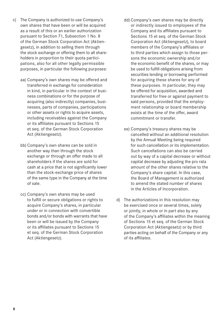- c) The Company is authorized to use Company's own shares that have been or will be acquired as a result of this or an earlier authorization pursuant to Section 71, Subsection 1 No. 8 of the German Stock Corporation Act (Aktiengesetz), in addition to selling them through the stock exchange or offering them to all shareholders in proportion to their quota participations, also for all other legally permissible purposes, in particular the following purposes:
	- aa) Company's own shares may be offered and transferred in exchange for consideration in kind, in particular in the context of business combinations or for the purpose of acquiring (also indirectly) companies, businesses, parts of companies, participations or other assets or rights to acquire assets, including receivables against the Company or its affiliates pursuant to Sections 15 et seq. of the German Stock Corporation Act (Aktiengesetz).
	- bb) Company's own shares can be sold in another way than through the stock exchange or through an offer made to all shareholders if the shares are sold for cash at a price that is not significantly lower than the stock-exchange price of shares of the same type in the Company at the time of sale.
	- cc) Company's own shares may be used to fulfill or secure obligations or rights to acquire Company's shares, in particular under or in connection with convertible bonds and/or bonds with warrants that have been or will be issued by the Company or its affiliates pursuant to Sections 15 et seq. of the German Stock Corporation Act (Aktiengesetz).
- dd) Company's own shares may be directly or indirectly issued to employees of the Company and its affiliates pursuant to Sections 15 et seq. of the German Stock Corporation Act (Aktiengesetz), to board members of the Company's affiliates or to third parties which assign to those persons the economic ownership and/or the economic benefit of the shares, or may be used to fulfill obligations arising from securities lending or borrowing performed for acquiring these shares for any of these purposes. In particular, they may be offered for acquisition, awarded and transferred for free or against payment to said persons, provided that the employment relationship or board membership exists at the time of the offer, award commitment or transfer.
- ee) Company's treasury shares may be cancelled without an additional resolution by the Annual Meeting being required for such cancellation or its implementation. Such cancellations can also be carried out by way of a capital decrease or without capital decrease by adjusting the pro rata amount of the other shares relative to the Company's share capital. In this case, the Board of Management is authorized to amend the stated number of shares in the Articles of Incorporation.
- d) The authorizations in this resolution may be exercised once or several times, solely or jointly, in whole or in part also by any of the Company's affiliates within the meaning of Sections 15 et seq. of the German Stock Corporation Act (Aktiengesetz) or by third parties acting on behalf of the Company or any of its affiliates.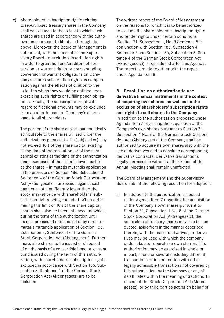<span id="page-7-0"></span>e) Shareholders' subscription rights relating to repurchased treasury shares in the Company shall be excluded to the extent to which such shares are used in accordance with the authorizations pursuant to lit. c) aa) through dd) above. Moreover, the Board of Management is authorized, with the consent of the Supervisory Board, to exclude subscription rights in order to grant holders/creditors of conversion or warrant rights or corresponding conversion or warrant obligations on Company's shares subscription rights as compensation against the effects of dilution to the extent to which they would be entitled upon exercising such rights or fulfilling such obligations. Finally, the subscription right with regard to fractional amounts may be excluded from an offer to acquire Company's shares made to all shareholders.

 The portion of the share capital mathematically attributable to the shares utilized under the authorizations pursuant to lit. c) bb) and cc) may not exceed 10% of the share capital existing at the time of the resolution, or of the share capital existing at the time of the authorization being exercised, if the latter is lower, as far as the shares – in mutatis mutandis application of the provisions of Section 186, Subsection 3 Sentence 4 of the German Stock Corporation Act (Aktiengesetz) – are issued against cash payment not significantly lower than the stock market price with shareholders' subscription rights being excluded. When determining this limit of 10% of the share capital, shares shall also be taken into account which, during the term of this authorization until its use, are issued or disposed of by direct or mutatis mutandis application of Section 186, Subsection 3, Sentence 4 of the German Stock Corporation Act (Aktiengesetz). Furthermore, also shares to be issued or disposed of on the basis of a convertible bond or warrant bond issued during the term of this authorization, with shareholders' subscription rights excluded in accordance with Section 186, Subsection 3, Sentence 4 of the German Stock Corporation Act (Aktiengesetz) are to be included.

The written report of the Board of Management on the reasons for which it is to be authorized to exclude the shareholders' subscription rights and tender rights under certain conditions (Section 71, Subsection 1, No. 8 Sentence 5 in conjunction with Section 186, Subsection 4, Sentence 2 and Section 186, Subsection 3, Sentence 4 of the German Stock Corporation Act (Aktiengesetz)) is reproduced after this Agenda. The report is made together with the report under Agenda Item 8.

**8. Resolution on authorization to use derivative financial instruments in the context of acquiring own shares, as well as on the exclusion of shareholders' subscription rights and rights to sell shares to the Company** In addition to the authorization proposed under Agenda Item 7 regarding the acquisition of the Company's own shares pursuant to Section 71, Subsection 1 No. 8 of the German Stock Corporation Act (Aktiengesetz), the Company shall be authorized to acquire its own shares also with the use of derivatives and to conclude corresponding derivative contracts. Derivative transactions legally permissible without authorization of the Annual Meeting shall remain unaffected.

The Board of Management and the Supervisory Board submit the following resolution for adoption:

a) In addition to the authorization proposed under Agenda Item 7 regarding the acquisition of the Company's own shares pursuant to Section 71, Subsection 1 No. 8 of the German Stock Corporation Act (Aktiengesetz), the acquisition of treasury shares may also be conducted, aside from in the manner described therein, with the use of derivatives, or derivatives may be used with which the company undertakes to repurchase own shares. This authorization may be exercised in whole or in part, in one or several (including different) transactions or in connection with other legally admissible transactions not covered by this authorization, by the Company or any of its affiliates within the meaning of Sections 15 et seq. of the Stock Corporation Act (Aktiengesetz), or by third parties acting on behalf of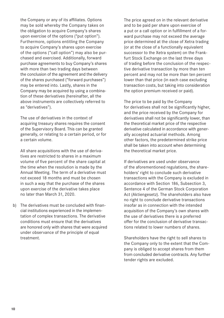the Company or any of its affiliates. Options may be sold whereby the Company takes on the obligation to acquire Company's shares upon exercise of the options ("put option"). Furthermore, options entitling the Company to acquire Company's shares upon exercise of the options ("call option") may also be purchased and exercised. Additionally, forward purchase agreements to buy Company's shares with more than two trading days between the conclusion of the agreement and the delivery of the shares purchased ("forward purchases") may be entered into. Lastly, shares in the Company may be acquired by using a combination of these derivatives (hereinafter, all the above instruments are collectively referred to as "derivatives").

 The use of derivatives in the context of acquiring treasury shares requires the consent of the Supervisory Board. This can be granted generally, or relating to a certain period, or for a certain volume.

 All share acquisitions with the use of derivatives are restricted to shares in a maximum volume of five percent of the share capital at the time when the resolution is made by the Annual Meeting. The term of a derivative must not exceed 18 months and must be chosen in such a way that the purchase of the shares upon exercise of the derivative takes place no later than March 31, 2020.

b) The derivatives must be concluded with financial institutions experienced in the implementation of complex transactions. The derivative conditions must ensure that the derivatives are honored only with shares that were acquired under observance of the principle of equal treatment.

 The price agreed on in the relevant derivative and to be paid per share upon exercise of a put or a call option or in fulfillment of a forward purchase may not exceed the average price determined at the close of Xetra trading (or at the close of a functionally equivalent successor to the Xetra system) on the Frankfurt Stock Exchange on the last three days of trading before the conclusion of the respective derivative transaction by more than ten percent and may not be more than ten percent lower than that price (in each case excluding transaction costs, but taking into consideration the option premium received or paid).

 The price to be paid by the Company for derivatives shall not be significantly higher, and the price received by the Company for derivatives shall not be significantly lower, than the theoretical market price of the respective derivative calculated in accordance with generally accepted actuarial methods. Among other factors, the predetermined strike price shall be taken into account when determining the theoretical market price.

 If derivatives are used under observance of the aforementioned regulations, the shareholders' right to conclude such derivative transactions with the Company is excluded in accordance with Section 186, Subsection 3, Sentence 4 of the German Stock Corporation Act (Aktiengesetz). The shareholders also have no right to conclude derivative transactions insofar as in connection with the intended acquisition of the Company's own shares with the use of derivatives there is a preferred offer for the conclusion of derivative transactions related to lower numbers of shares.

 Shareholders have the right to sell shares to the Company only to the extent that the Company is obliged to accept shares from them from concluded derivative contracts. Any further tender rights are excluded.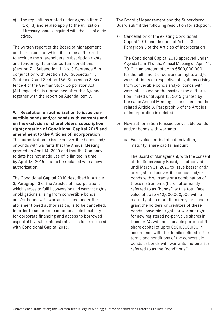- - Convenience Translation; the German text is legally binding; all time specifications referring to local time. **11**

<span id="page-9-0"></span>c) The regulations stated under Agenda Item 7 lit. c), d) and e) also apply to the utilization of treasury shares acquired with the use of derivatives.

The written report of the Board of Management on the reasons for which it is to be authorized to exclude the shareholders' subscription rights and tender rights under certain conditions (Section 71, Subsection 1, No. 8 Sentence 5 in conjunction with Section 186, Subsection 4, Sentence 2 and Section 186, Subsection 3, Sentence 4 of the German Stock Corporation Act (Aktiengesetz)) is reproduced after this Agenda together with the report on Agenda Item 7.

**9. Resolution on authorization to issue convertible bonds and/or bonds with warrants and on the exclusion of shareholders' subscription right; creation of Conditional Capital 2015 and amendment to the Articles of Incorporation** The authorization to issue convertible bonds and/ or bonds with warrants that the Annual Meeting granted on April 14, 2010 and that the Company to date has not made use of is limited in time by April 13, 2015. It is to be replaced with a new authorization.

The Conditional Capital 2010 described in Article 3, Paragraph 3 of the Articles of Incorporation, which serves to fulfill conversion and warrant rights or obligations arising from convertible bonds and/or bonds with warrants issued under the aforementioned authorization, is to be cancelled. In order to secure maximum possible flexibility for corporate financing and access to borrowed capital at favorable interest rates, it is to be replaced with Conditional Capital 2015.

The Board of Management and the Supervisory Board submit the following resolution for adoption:

a) Cancellation of the existing Conditional Capital 2010 and deletion of Article 3, Paragraph 3 of the Articles of Incorporation

 The Conditional Capital 2010 approved under Agenda Item 11 of the Annual Meeting on April 14, 2010 in an amount of up to €500,000,000 for the fulfillment of conversion rights and/or warrant rights or respective obligations arising from convertible bonds and/or bonds with warrants issued on the basis of the authorization limited until April 13, 2015 granted by the same Annual Meeting is cancelled and the related Article 3, Paragraph 3 of the Articles of Incorporation is deleted.

- b) New authorization to issue convertible bonds and/or bonds with warrants
	- aa) Face value, period of authorization, maturity, share capital amount

 The Board of Management, with the consent of the Supervisory Board, is authorized until March 31, 2020 to issue bearer and/ or registered convertible bonds and/or bonds with warrants or a combination of these instruments (hereinafter jointly referred to as "bonds") with a total face value of up to €10,000,000,000 with a maturity of no more than ten years, and to grant the holders or creditors of these bonds conversion rights or warrant rights for new registered no-par-value shares in Daimler AG with an allocable portion of the share capital of up to €500,000,000 in accordance with the details defined in the terms and conditions of the convertible bonds or bonds with warrants (hereinafter referred to as the "conditions").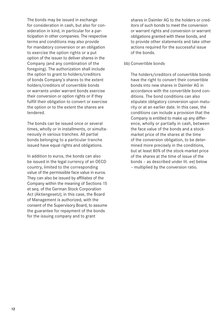The bonds may be issued in exchange for consideration in cash, but also for consideration in kind, in particular for a participation in other companies. The respective terms and conditions may also provide for mandatory conversion or an obligation to exercise the option rights or a put option of the issuer to deliver shares in the Company (and any combination of the foregoing). The authorization shall include the option to grant to holders/creditors of bonds Company's shares to the extent holders/creditors of convertible bonds or warrants under warrant bonds exercise their conversion or option rights or if they fulfill their obligation to convert or exercise the option or to the extent the shares are tendered.

 The bonds can be issued once or several times, wholly or in installments, or simultaneously in various tranches. All partial bonds belonging to a particular tranche issued have equal rights and obligations.

 In addition to euros, the bonds can also be issued in the legal currency of an OECD country, limited to the corresponding value of the permissible face value in euros. They can also be issued by affiliates of the Company within the meaning of Sections 15 et seq. of the German Stock Corporation Act (Aktiengesetz); in this case, the Board of Management is authorized, with the consent of the Supervisory Board, to assume the guarantee for repayment of the bonds for the issuing company and to grant

shares in Daimler AG to the holders or creditors of such bonds to meet the conversion or warrant rights and conversion or warrant obligations granted with these bonds, and to provide other statements and take other actions required for the successful issue of the bonds.

#### bb) Convertible bonds

 The holders/creditors of convertible bonds have the right to convert their convertible bonds into new shares in Daimler AG in accordance with the convertible bond conditions. The bond conditions can also stipulate obligatory conversion upon maturity or at an earlier date. In this case, the conditions can include a provision that the Company is entitled to make up any difference, wholly or partially in cash, between the face value of the bonds and a stockmarket price of the shares at the time of the conversion obligation, to be determined more precisely in the conditions, but at least 80% of the stock-market price of the shares at the time of issue of the bonds – as described under lit. ee) below – multiplied by the conversion ratio.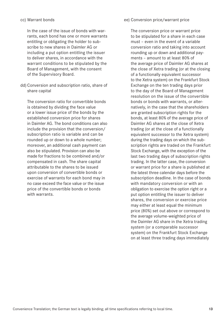#### cc) Warrant bonds

 In the case of the issue of bonds with warrants, each bond has one or more warrants entitling or obligating the holder to subscribe to new shares in Daimler AG or including a put option entitling the issuer to deliver shares, in accordance with the warrant conditions to be stipulated by the Board of Management, with the consent of the Supervisory Board.

dd) Conversion and subscription ratio, share of share capital

 The conversion ratio for convertible bonds is obtained by dividing the face value or a lower issue price of the bonds by the established conversion price for shares in Daimler AG. The bond conditions can also include the provision that the conversion/ subscription ratio is variable and can be rounded up or down to a whole number; moreover, an additional cash payment can also be stipulated. Provision can also be made for fractions to be combined and/or compensated in cash. The share capital attributable to the shares to be issued upon conversion of convertible bonds or exercise of warrants for each bond may in no case exceed the face value or the issue price of the convertible bonds or bonds with warrants.

#### ee) Conversion price/warrant price

 The conversion price or warrant price to be stipulated for a share in each case must – even in the event of a variable conversion ratio and taking into account rounding up or down and additional payments – amount to at least 80% of the average price of Daimler AG shares at the close of Xetra trading (or at the closing of a functionally equivalent successor to the Xetra system) on the Frankfurt Stock Exchange on the ten trading days prior to the day of the Board of Management resolution on the issue of the convertible bonds or bonds with warrants, or alternatively, in the case that the shareholders are granted subscription rights for the bonds, at least 80% of the average price of Daimler AG shares at the close of Xetra trading (or at the close of a functionally equivalent successor to the Xetra system) during the trading days on which the subscription rights are traded on the Frankfurt Stock Exchange, with the exception of the last two trading days of subscription rights trading. In the latter case, the conversion or warrant price for a share is published at the latest three calendar days before the subscription deadline. In the case of bonds with mandatory conversion or with an obligation to exercise the option right or a put option entitling the issuer to deliver shares, the conversion or exercise price may either at least equal the minimum price (80%) set out above or correspond to the average volume-weighted price of the Daimler AG share in the Xetra trading system (or a comparable successor system) on the Frankfurt Stock Exchange on at least three trading days immediately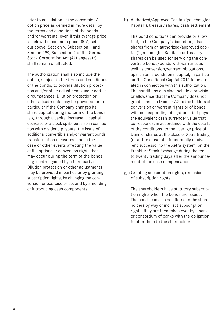prior to calculation of the conversion/ option price as defined in more detail by the terms and conditions of the bonds and/or warrants, even if this average price is below the minimum price (80%) set out above. Section 9, Subsection 1 and Section 199, Subsection 2 of the German Stock Corporation Act (Aktiengesetz) shall remain unaffected.

 The authorization shall also include the option, subject to the terms and conditions of the bonds, to provide dilution protection and/or other adjustments under certain circumstances. Dilution protection or other adjustments may be provided for in particular if the Company changes its share capital during the term of the bonds (e.g. through a capital increase, a capital decrease or a stock split), but also in connection with dividend payouts, the issue of additional convertible and/or warrant bonds, transformation measures, and in the case of other events affecting the value of the options or conversion rights that may occur during the term of the bonds (e.g. control gained by a third party). Dilution protection or other adjustments may be provided in particular by granting subscription rights, by changing the conversion or exercise price, and by amending or introducing cash components.

ff) Authorized/Approved Capital ("genehmigtes Kapital"), treasury shares, cash settlement

 The bond conditions can provide or allow that, in the Company's discretion, also shares from an authorized/approved capital ("genehmigtes Kapital") or treasury shares can be used for servicing the convertible bonds/bonds with warrants as well as conversion/warrant obligations, apart from a conditional capital, in particular the Conditional Capital 2015 to be created in connection with this authorization. The conditions can also include a provision or allowance that the Company does not grant shares in Daimler AG to the holders of conversion or warrant rights or of bonds with corresponding obligations, but pays the equivalent cash surrender value that corresponds, in accordance with the details of the conditions, to the average price of Daimler shares at the close of Xetra trading (or at the close of a functionally equivalent successor to the Xetra system) on the Frankfurt Stock Exchange during the ten to twenty trading days after the announcement of the cash compensation.

gg) Granting subscription rights, exclusion of subscription rights

 The shareholders have statutory subscription rights when the bonds are issued. The bonds can also be offered to the shareholders by way of indirect subscription rights; they are then taken over by a bank or consortium of banks with the obligation to offer them to the shareholders.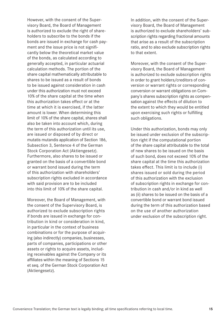However, with the consent of the Supervisory Board, the Board of Management is authorized to exclude the right of shareholders to subscribe to the bonds if the bonds are issued in exchange for cash payment and the issue price is not significantly below the theoretical market value of the bonds, as calculated according to generally accepted, in particular actuarial calculation methods. The portion of the share capital mathematically attributable to shares to be issued as a result of bonds to be issued against consideration in cash under this authorization must not exceed 10% of the share capital at the time when this authorization takes effect or at the time at which it is exercised, if the latter amount is lower. When determining this limit of 10% of the share capital, shares shall also be taken into account which, during the term of this authorization until its use, are issued or disposed of by direct or mutatis mutandis application of Section 186, Subsection 3, Sentence 4 of the German Stock Corporation Act (Aktiengesetz). Furthermore, also shares to be issued or granted on the basis of a convertible bond or warrant bond issued during the term of this authorization with shareholders' subscription rights excluded in accordance with said provision are to be included into this limit of 10% of the share capital.

 Moreover, the Board of Management, with the consent of the Supervisory Board, is authorized to exclude subscription rights if bonds are issued in exchange for contribution in kind or consideration in kind, in particular in the context of business combinations or for the purpose of acquiring (also indirectly) companies, businesses, parts of companies, participations or other assets or rights to acquire assets, including receivables against the Company or its affiliates within the meaning of Sections 15 et seq. of the German Stock Corporation Act (Aktiengesetz).

 In addition, with the consent of the Supervisory Board, the Board of Management is authorized to exclude shareholders' subscription rights regarding fractional amounts that arise as a result of the subscription ratio, and to also exclude subscription rights to that extent.

 Moreover, with the consent of the Supervisory Board, the Board of Management is authorized to exclude subscription rights in order to grant holders/creditors of conversion or warrant rights or corresponding conversion or warrant obligations on Company's shares subscription rights as compensation against the effects of dilution to the extent to which they would be entitled upon exercising such rights or fulfilling such obligations.

 Under this authorization, bonds may only be issued under exclusion of the subscription right if the computational portion of the share capital attributable to the total of new shares to be issued on the basis of such bond, does not exceed 10% of the share capital at the time this authorization takes effect. This limit is to include (i) shares issued or sold during the period of this authorization with the exclusion of subscription rights in exchange for contribution in cash and/or in kind as well as (ii) shares to be issued on the basis of a convertible bond or warrant bond issued during the term of this authorization based on the use of another authorization under exclusion of the subscription right.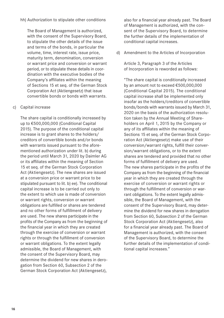hh) Authorization to stipulate other conditions

 The Board of Management is authorized, with the consent of the Supervisory Board, to stipulate the other details of the issue and terms of the bonds, in particular the volume, time, interest rate, issue price, maturity term, denomination, conversion or warrant price and conversion or warrant period, or to stipulate these details in coordination with the executive bodies of the Company's affiliates within the meaning of Sections 15 et seq. of the German Stock Corporation Act (Aktiengesetz) that issue convertible bonds or bonds with warrants.

#### c) Capital increase

 The share capital is conditionally increased by up to €500,000,000 (Conditional Capital 2015). The purpose of the conditional capital increase is to grant shares to the holders/ creditors of convertible bonds and/or bonds with warrants issued pursuant to the aforementioned authorization under lit. b) during the period until March 31, 2020 by Daimler AG or its affiliates within the meaning of Section 15 et seq. of the German Stock Corporation Act (Aktiengesetz). The new shares are issued at a conversion price or warrant price to be stipulated pursuant to lit. b) ee). The conditional capital increase is to be carried out only to the extent to which use is made of conversion or warrant rights, conversion or warrant obligations are fulfilled or shares are tendered and no other forms of fulfillment of delivery are used. The new shares participate in the profits of the Company as from the beginning of the financial year in which they are created through the exercise of conversion or warrant rights or through the fulfillment of conversion or warrant obligations. To the extent legally admissible, the Board of Management, with the consent of the Supervisory Board, may determine the dividend for new shares in derogation from Section 60, Subsection 2 of the German Stock Corporation Act (Aktiengesetz),

also for a financial year already past. The Board of Management is authorized, with the consent of the Supervisory Board, to determine the further details of the implementation of conditional capital increases.

d) Amendment to the Articles of Incorporation

 Article 3, Paragraph 3 of the Articles of Incorporation is reworded as follows:

 "The share capital is conditionally increased by an amount not to exceed €500,000,000 (Conditional Capital 2015). The conditional capital increase shall be implemented only insofar as the holders/creditors of convertible bonds/bonds with warrants issued by March 31, 2020 on the basis of the authorization resolution taken by the Annual Meeting of Shareholders on April 1, 2015 by the Company or any of its affiliates within the meaning of Sections 15 et seq. of the German Stock Corporation Act (Aktiengesetz) make use of their conversion/warrant rights, fulfill their conversion/warrant obligations, or to the extent shares are tendered and provided that no other forms of fulfillment of delivery are used. The new shares participate in the profits of the Company as from the beginning of the financial year in which they are created through the exercise of conversion or warrant rights or through the fulfillment of conversion or warrant obligations. To the extent legally admissible, the Board of Management, with the consent of the Supervisory Board, may determine the dividend for new shares in derogation from Section 60, Subsection 2 of the German Stock Corporation Act (Aktiengesetz), also for a financial year already past. The Board of Management is authorized, with the consent of the Supervisory Board, to determine the further details of the implementation of conditional capital increases."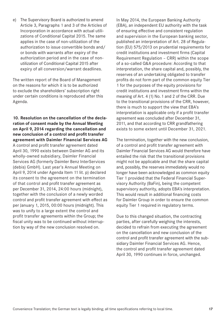<span id="page-15-0"></span>e) The Supervisory Board is authorized to amend Article 3, Paragraphs 1 and 3 of the Articles of Incorporation in accordance with actual utilizations of Conditional Capital 2015. The same applies in the case of non-utilization of the authorization to issue convertible bonds and/ or bonds with warrants after expiry of the authorization period and in the case of nonutilization of Conditional Capital 2015 after expiry of all conversion/warrant deadlines.

The written report of the Board of Management on the reasons for which it is to be authorized to exclude the shareholders' subscription right under certain conditions is reproduced after this Agenda.

**10. Resolution on the cancellation of the declaration of consent made by the Annual Meeting on April 9, 2014 regarding the cancellation and new conclusion of a control and profit transfer agreement with Daimler Financial Services AG** A control and profit transfer agreement dated April 30, 1990 exists between Daimler AG and its wholly-owned subsidiary, Daimler Financial Services AG (formerly Daimler Benz InterServices (debis) GmbH). Last year's Annual Meeting on April 9, 2014 under Agenda Item 11 lit. p) declared its consent to the agreement on the termination of that control and profit transfer agreement as per December 31, 2014, 24:00 hours (midnight), together with the conclusion of a newly worded control and profit transfer agreement with effect as per January 1, 2015, 00:00 hours (midnight). This was to unify to a large extent the control and profit transfer agreements within the Group; the fiscal unity was to be continued without interruption by way of the new conclusion resolved on.

In May 2014, the European Banking Authority (EBA), an independent EU authority with the task of ensuring effective and consistent regulation and supervision in the European banking sector, published an interpretation of Art. 28 of Regulation (EU) 575/2013 on prudential requirements for credit institutions and investment firms (Capital Requirement Regulation – CRR) within the scope of a so-called Q&A procedure: According to that interpretation, the share capital and, possibly, the reserves of an undertaking obligated to transfer profits do not form part of the common equity Tier 1 for the purposes of the equity provisions for credit institutions and investment firms within the meaning of Art. 4 (1) No.1 and 2 of the CRR. Due to the transitional provisions of the CRR, however, there is much to support the view that EBA's interpretation is applicable only if a profit transfer agreement was concluded after December 31, 2011, and that according to CRR grandfathering exists to some extent until December 31, 2021.

The termination, together with the new conclusion, of a control and profit transfer agreement with Daimler Financial Services AG would therefore have entailed the risk that the transitional provisions might not be applicable and that the share capital and, possibly, the reserves immediately would no longer have been acknowledged as common equity Tier 1 provided that the Federal Financial Supervisory Authority (BaFin), being the competent supervisory authority, adopts EBA's interpretation. This would result in additional financing costs for Daimler Group in order to ensure the common equity Tier 1 required in regulatory terms.

Due to this changed situation, the contracting parties, after carefully weighing the interests, decided to refrain from executing the agreement on the cancellation and new conclusion of the control and profit transfer agreement with the subsidiary Daimler Financial Services AG. Hence, the control and profit transfer agreement dated April 30, 1990 continues in force, unchanged.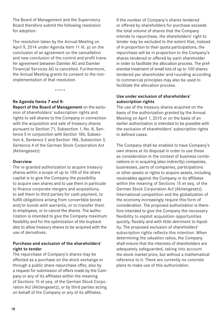<span id="page-16-0"></span>The Board of Management and the Supervisory Board therefore submit the following resolution for adoption:

The resolution taken by the Annual Meeting on April 9, 2014 under Agenda Item 11 lit. p) on the conclusion of an agreement on the cancellation and new conclusion of the control and profit transfer agreement between Daimler AG and Daimler Financial Services AG is cancelled. Furthermore, the Annual Meeting grants its consent to the nonimplementation of that resolution.

\*\*\*\*\*

#### **Re Agenda Items 7 and 8:**

**Report of the Board of Management** on the exclusion of shareholders' subscription rights and rights to sell shares to the Company in connection with the acquisition and sale of treasury shares pursuant to Section 71, Subsection 1, No. 8, Sentence 5 in conjunction with Section 186, Subsection 4, Sentence 2 and Section 186, Subsection 3, Sentence 4 of the German Stock Corporation Act (Aktiengesetz):

#### **Overview**

The re-granted authorization to acquire treasury shares within a scope of up to 10% of the share capital is to give the Company the possibility to acquire own shares and to use them in particular to finance corporate mergers and acquisitions, to sell them to third parties for cash payment, to fulfill obligations arising from convertible bonds and/or bonds with warrants, or to transfer them to employees, or to cancel the shares. The authorization is intended to give the Company maximum flexibility and for the optimization of the buyback also to allow treasury shares to be acquired with the use of derivatives.

#### **Purchase and exclusion of the shareholders' right to tender**

The repurchase of Company's shares may be effected as a purchase on the stock exchange or through a public share repurchase offer, also by a request for submission of offers made by the Company or any of its affiliates within the meaning of Sections 15 et seq. of the German Stock Corporation Act (Aktiengesetz), or by third parties acting on behalf of the Company or any of its affiliates.

If the number of Company's shares tendered or offered by shareholders for purchase exceeds the total volume of shares that the Company intends to repurchase, the shareholders' right to tender may be excluded to the extent that, instead of in proportion to their quota participations, the repurchase will be in proportion to the Company's shares tendered or offered by each shareholder in order to facilitate the allocation process. The preferential treatment of small lots of up to 100 shares tendered per shareholder and rounding according to commercial principles may also be used to facilitate the allocation process.

#### **Use under exclusion of shareholders' subscription rights**

The use of the treasury shares acquired on the basis of the authorization granted by the Annual Meeting on April 1, 2015 or on the basis of an earlier authorization is intended to be possible with the exclusion of shareholders' subscription rights in defined cases:

The Company shall be enabled to have Company's own shares at its disposal in order to use these as consideration in the context of business combinations or in acquiring (also indirectly) companies, businesses, parts of companies, participations or other assets or rights to acquire assets, including receivables against the Company or its affiliates within the meaning of Sections 15 et seq. of the German Stock Corporation Act (Aktiengesetz). International competition and the globalization of the economy increasingly require this form of consideration. The proposed authorization is therefore intended to give the Company the necessary flexibility to exploit acquisition opportunities quickly, flexibly and with little detriment to liquidity. The proposed exclusion of shareholders' subscription rights reflects this intention. When determining the valuation ratios, the Company shall ensure that the interests of shareholders are adequately safeguarded, taking into account the stock market price, but without a mathematical reference to it. There are currently no concrete plans to make use of this authorization.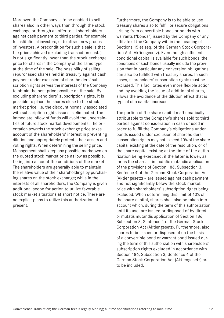Moreover, the Company is to be enabled to sell shares also in other ways than through the stock exchange or through an offer to all shareholders against cash payment to third parties, for example to institutional investors, or to attract new groups of investors. A precondition for such a sale is that the price achieved (excluding transaction costs) is not significantly lower than the stock exchange price for shares in the Company of the same type at the time of the sale. The possibility of selling repurchased shares held in treasury against cash payment under exclusion of shareholders' subscription rights serves the interests of the Company to obtain the best price possible on the sale. By excluding shareholders' subscription rights, it is possible to place the shares close to the stock market price, i.e. the discount normally associated with subscription rights issues is eliminated. The immediate inflow of funds will avoid the uncertainties of future stock market developments. The orientation towards the stock exchange price takes account of the shareholders' interest in preventing dilution and appropriately protects their assets and voting rights. When determining the selling price, Management shall keep any possible markdown on the quoted stock market price as low as possible, taking into account the conditions of the market. The shareholders are generally able to maintain the relative value of their shareholdings by purchasing shares on the stock exchange; while in the interests of all shareholders, the Company is given additional scope for action to utilize favorable stock market situations at short notice. There are no explicit plans to utilize this authorization at present.

Furthermore, the Company is to be able to use treasury shares also to fulfill or secure obligations arising from convertible bonds or bonds with warrants ("bonds") issued by the Company or any affiliate of the Company within the meaning of Sections 15 et seq. of the German Stock Corporation Act (Aktiengesetz). Even though sufficient conditional capital is available for such bonds, the conditions of such bonds usually include the provision that in particular any conversion obligations can also be fulfilled with treasury shares. In such cases, shareholders' subscription rights must be excluded. This facilitates even more flexible action and, by avoiding the issue of additional shares, allows the avoidance of the dilution effect that is typical of a capital increase.

The portion of the share capital mathematically attributable to the Company's shares sold to third parties against consideration in cash or used in order to fulfill the Company's obligations under bonds issued under exclusion of shareholders' subscription rights may not exceed 10% of the share capital existing at the date of the resolution, or of the share capital existing at the time of the authorization being exercised, if the latter is lower, as far as the shares – in mutatis mutandis application of the provisions of Section 186, Subsection 3, Sentence 4 of the German Stock Corporation Act (Aktiengesetz) – are issued against cash payment and not significantly below the stock market price with shareholders' subscription rights being excluded. When determining this limit of 10% of the share capital, shares shall also be taken into account which, during the term of this authorization until its use, are issued or disposed of by direct or mutatis mutandis application of Section 186, Subsection 3, Sentence 4 of the German Stock Corporation Act (Aktiengesetz). Furthermore, also shares to be issued or disposed of on the basis of a convertible bond or warrant bond issued during the term of this authorization with shareholders' subscription rights excluded in accordance with Section 186, Subsection 3, Sentence 4 of the German Stock Corporation Act (Aktiengesetz) are to be included.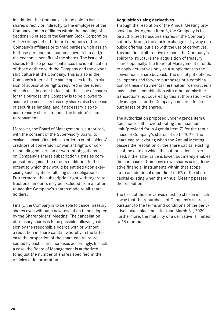In addition, the Company is to be able to issue shares directly or indirectly to the employees of the Company and its affiliates within the meaning of Sections 15 et seq. of the German Stock Corporation Act (Aktiengesetz), to board members of the Company's affiliates or to third parties which assign to those persons the economic ownership and/or the economic benefits of the shares. The issue of shares to these persons enhances the identification of those entitled with the Company and the ownership culture at the Company. This is also in the Company's interest. The same applies to the exclusion of subscription rights required in the event of such use. In order to facilitate the issue of shares for this purpose, the Company is to be allowed to acquire the necessary treasury shares also by means of securities lending, and if necessary also to use treasury shares to meet the lenders' claim to repayment.

Moreover, the Board of Management is authorized, with the consent of the Supervisory Board, to exclude subscription rights in order to grant holders/ creditors of conversion or warrant rights or corresponding conversion or warrant obligations on Company's shares subscription rights as compensation against the effects of dilution to the extent to which they would be entitled upon exercising such rights or fulfilling such obligations. Furthermore, the subscription right with regard to fractional amounts may be excluded from an offer to acquire Company's shares made to all shareholders.

Finally, the Company is to be able to cancel treasury shares even without a new resolution to be adopted by the Shareholders' Meeting. The cancellation of treasury shares is to be possible following a decision by the responsible boards with or without a reduction in share capital, whereby in the latter case the proportion of the share capital represented by each share increases accordingly. In such a case, the Board of Management is authorized to adjust the number of shares specified in the Articles of Incorporation.

#### **Acquisition using derivatives**

Through the resolution of the Annual Meeting proposed under Agenda Item 8, the Company is to be authorized to acquire shares in the Company not only through the stock exchange or by way of a public offering, but also with the use of derivatives. This additional alternative expands the Company's ability to structure the acquisition of treasury shares optimally. The Board of Management intends to apply derivatives only as a supplement to the conventional share buyback. The use of put options, call options and forward purchases or a combination of these instruments (hereinafter, "derivatives") may – also in combination with other admissible transactions not covered by this authorization – be advantageous for the Company compared to direct purchases of the shares.

The authorization proposed under Agenda Item 8 does not result in overshooting the maximum limit (provided for in Agenda Item 7) for the repurchase of Company's shares of up to 10% of the share capital existing when the Annual Meeting passes the resolution or the share capital existing as of the date on which the authorization is exercised, if the latter value is lower, but merely enables the purchase of Company's own shares using derivative financial instruments within that scope up to an additional upper limit of 5% of the share capital existing when the Annual Meeting passes the resolution.

The term of the derivatives must be chosen in such a way that the repurchase of Company's shares pursuant to the terms and conditions of the derivatives takes place no later than March 31, 2020. Furthermore, the maturity of a derivative is limited to 18 months.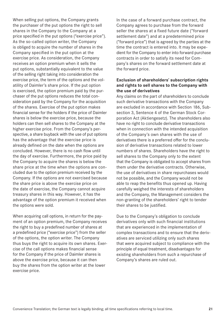When selling put options, the Company grants the purchaser of the put options the right to sell shares in the Company to the Company at a price specified in the put options ("exercise price"). As the so-called option writer, the Company is obliged to acquire the number of shares in the Company specified in the put option at the exercise price. As consideration, the Company receives an option premium when it sells the put options, substantially equivalent to the value of the selling right taking into consideration the exercise price, the term of the options and the volatility of Daimler's share price. If the put option is exercised, the option premium paid by the purchaser of the put options reduces the total consideration paid by the Company for the acquisition of the shares. Exercise of the put option makes financial sense for the holders if the price of Daimler shares is below the exercise price, because the holders can then sell shares to the Company at the higher exercise price. From the Company's perspective, a share buyback with the use of put options has the advantage that the exercise price is already defined on the date when the options are concluded. However, there is no cash flow until the day of exercise. Furthermore, the price paid by the Company to acquire the shares is below the share price at the time when the options are concluded due to the option premium received by the Company. If the options are not exercised because the share price is above the exercise price on the date of exercise, the Company cannot acquire treasury shares in this way. However, it has the advantage of the option premium it received when the options were sold.

When acquiring call options, in return for the payment of an option premium, the Company receives the right to buy a predefined number of shares at a predefined price ("exercise price") from the seller of the options, the option writer. The Company thus buys the right to acquire its own shares. Exercise of the call options makes financial sense for the Company if the price of Daimler shares is above the exercise price, because it can then buy the shares from the option writer at the lower exercise price.

In the case of a forward purchase contract, the Company agrees to purchase from the forward seller the shares at a fixed future date ("forward settlement date") and at a predetermined price ("forward price") that is agreed by the parties at the time the contract is entered into. It may be expedient for the Company to enter into forward purchase contracts in order to satisfy its need for Company's shares on the forward settlement date at the forward price.

#### **Exclusion of shareholders' subscription rights and rights to sell shares to the Company with the use of derivatives**

Any claims on the part of shareholders to conclude such derivative transactions with the Company are excluded in accordance with Section 186, Subsection 3, Sentence 4 of the German Stock Corporation Act (Aktiengesetz). The shareholders also have no right to conclude derivative transactions when in connection with the intended acquisition of the Company's own shares with the use of derivatives there is a preferred offer for the conclusion of derivative transactions related to lower numbers of shares. Shareholders have the right to sell shares to the Company only to the extent that the Company is obligated to accept shares from them under the derivative contracts. Otherwise, the use of derivatives in share repurchases would not be possible, and the Company would not be able to reap the benefits thus opened up. Having carefully weighed the interests of shareholders and the Company, the Management considers the non-granting of the shareholders' right to tender their shares to be justified.

Due to the Company's obligation to conclude derivatives only with such financial institutions that are experienced in the implementation of complex transactions and to ensure that the derivatives are serviced utilizing only such shares that were acquired subject to compliance with the principle of equal treatment, disadvantages for existing shareholders from such a repurchase of Company's shares are ruled out.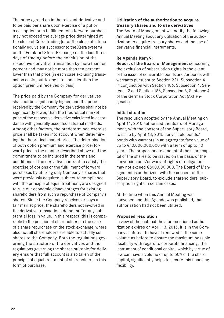<span id="page-20-0"></span>The price agreed on in the relevant derivative and to be paid per share upon exercise of a put or a call option or in fulfillment of a forward purchase may not exceed the average price determined at the close of Xetra trading (or at the close of a functionally equivalent successor to the Xetra system) on the Frankfurt Stock Exchange on the last three days of trading before the conclusion of the respective derivative transaction by more than ten percent and may not be more than ten percent lower than that price (in each case excluding transaction costs, but taking into consideration the option premium received or paid).

The price paid by the Company for derivatives shall not be significantly higher, and the price received by the Company for derivatives shall not be significantly lower, than the theoretical market price of the respective derivative calculated in accordance with generally accepted actuarial methods. Among other factors, the predetermined exercise price shall be taken into account when determining the theoretical market price. The determination of both option premium and exercise price/forward price in the manner described above and the commitment to be included in the terms and conditions of the derivative contract to satisfy the exercise of options or the fulfillment of forward purchases by utilizing only Company's shares that were previously acquired, subject to compliance with the principle of equal treatment, are designed to rule out economic disadvantages for existing shareholders from such a repurchase of Company's shares. Since the Company receives or pays a fair market price, the shareholders not involved in the derivative transactions do not suffer any substantial loss in value. In this respect, this is comparable to the position of shareholders in the case of a share repurchase on the stock exchange, where also not all shareholders are able to actually sell shares to the Company. Both the regulations governing the structure of the derivatives and the regulations governing the shares suitable for delivery ensure that full account is also taken of the principle of equal treatment of shareholders in this form of purchase.

#### **Utilization of the authorization to acquire treasury shares and to use derivatives**

The Board of Management will notify the following Annual Meeting about any utilization of the authorization to acquire treasury shares and the use of derivative financial instruments.

#### **Re Agenda Item 9:**

**Report of the Board of Management** concerning the exclusion of subscription rights in the event of the issue of convertible bonds and/or bonds with warrants pursuant to Section 221, Subsection 4 in conjunction with Section 186, Subsection 4, Sentence 2 and Section 186, Subsection 3, Sentence 4 of the German Stock Corporation Act (Aktiengesetz):

#### **Initial situation**

The resolution adopted by the Annual Meeting on April 14, 2010 authorized the Board of Management, with the consent of the Supervisory Board, to issue by April 13, 2015 convertible bonds/ bonds with warrants in an aggregate face value of up to €10,000,000,000 with a term of up to 10 years. The proportionate amount of the share capital of the shares to be issued on the basis of the conversion and/or warrant rights or obligations may not exceed €500,000,000. The Board of Management is authorized, with the consent of the Supervisory Board, to exclude shareholders' subscription rights in certain cases.

At the time when this Annual Meeting was convened and this Agenda was published, that authorization had not been utilized.

#### **Proposed resolution**

In view of the fact that the aforementioned authorization expires on April 13, 2015, it is in the Company's interest to have it renewed in the same volume as before to ensure the maximum possible flexibility with regard to corporate financing. The instrument of conditional capital, which by virtue of law can have a volume of up to 50% of the share capital, significantly helps to secure this financing flexibility.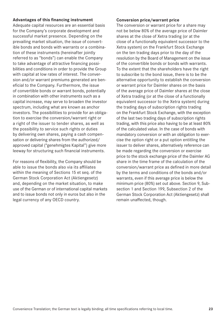#### **Advantages of this financing instrument**

Adequate capital resources are an essential basis for the Company's corporate development and successful market presence. Depending on the prevailing market situation, the issue of convertible bonds and bonds with warrants or a combination of these instruments (hereinafter jointly referred to as "bonds") can enable the Company to take advantage of attractive financing possibilities and conditions in order to provide the Group with capital at low rates of interest. The conversion and/or warrant premiums generated are beneficial to the Company. Furthermore, the issue of convertible bonds or warrant bonds, potentially in combination with other instruments such as a capital increase, may serve to broaden the investor spectrum, including what are known as anchor investors. The possibilities to provide for an obligation to exercise the conversion/warrant right or a right of the issuer to tender shares, as well as the possibility to service such rights or duties by delivering own shares, paying a cash compensation or delivering shares from the authorized/ approved capital ("genehmigtes Kapital") give more leeway for structuring such financial instruments.

For reasons of flexibility, the Company should be able to issue the bonds also via its affiliates within the meaning of Sections 15 et seq. of the German Stock Corporation Act (Aktiengesetz) and, depending on the market situation, to make use of the German or of international capital markets and to issue bonds not only in euros but also in the legal currency of any OECD country.

#### **Conversion price/warrant price**

The conversion or warrant price for a share may not be below 80% of the average price of Daimler shares at the close of Xetra trading (or at the close of a functionally equivalent successor to the Xetra system) on the Frankfurt Stock Exchange on the ten trading days prior to the day of the resolution by the Board of Management on the issue of the convertible bonds or bonds with warrants. To the extent that the shareholders have the right to subscribe to the bond issue, there is to be the alternative opportunity to establish the conversion or warrant price for Daimler shares on the basis of the average price of Daimler shares at the close of Xetra trading (or at the close of a functionally equivalent successor to the Xetra system) during the trading days of subscription rights trading on the Frankfurt Stock Exchange, with the exception of the last two trading days of subscription rights trading, with this price also having to be at least 80% of the calculated value. In the case of bonds with mandatory conversion or with an obligation to exercise the option right or a put option entitling the issuer to deliver shares, alternatively reference can be made regarding the conversion or exercise price to the stock exchange price of the Daimler AG share in the time frame of the calculation of the conversion/warrant price as defined in more detail by the terms and conditions of the bonds and/or warrants, even if this average price is below the minimum price (80%) set out above. Section 9, Subsection 1 and Section 199, Subsection 2 of the German Stock Corporation Act (Aktiengesetz) shall remain unaffected, though.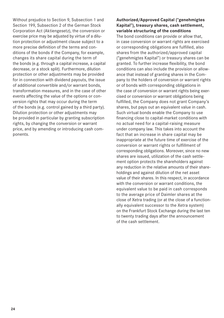Without prejudice to Section 9, Subsection 1 and Section 199, Subsection 2 of the German Stock Corporation Act (Aktiengesetz), the conversion or exercise price may be adjusted by virtue of a dilution protection or adjustment clause subject to a more precise definition of the terms and conditions of the bonds if the Company, for example, changes its share capital during the term of the bonds (e.g. through a capital increase, a capital decrease, or a stock split). Furthermore, dilution protection or other adjustments may be provided for in connection with dividend payouts, the issue of additional convertible and/or warrant bonds, transformation measures, and in the case of other events affecting the value of the options or conversion rights that may occur during the term of the bonds (e.g. control gained by a third party). Dilution protection or other adjustments may be provided in particular by granting subscription rights, by changing the conversion or warrant price, and by amending or introducing cash components.

#### **Authorized/Approved Capital ("genehmigtes Kapital"), treasury shares, cash settlement, variable structuring of the conditions**

The bond conditions can provide or allow that, in case conversion or warrant rights are exercised or corresponding obligations are fulfilled, also shares from the authorized/approved capital ("genehmigtes Kapital") or treasury shares can be granted. To further increase flexibility, the bond conditions can also include the provision or allowance that instead of granting shares in the Company to the holders of conversion or warrant rights or of bonds with corresponding obligations in the case of conversion or warrant rights being exercised or conversion or warrant obligations being fulfilled, the Company does not grant Company's shares, but pays out an equivalent value in cash. Such virtual bonds enable the Company to use financing close to capital-market conditions with no actual need for a capital-raising measure under company law. This takes into account the fact that an increase in share capital may be inappropriate at the future time of exercise of the conversion or warrant rights or fulfillment of corresponding obligations. Moreover, since no new shares are issued, utilization of the cash settlement option protects the shareholders against any reduction in the relative amounts of their shareholdings and against dilution of the net asset value of their shares. In this respect, in accordance with the conversion or warrant conditions, the equivalent value to be paid in cash corresponds to the average price of Daimler shares at the close of Xetra trading (or at the close of a functionally equivalent successor to the Xetra system) on the Frankfurt Stock Exchange during the last ten to twenty trading days after the announcement of the cash settlement.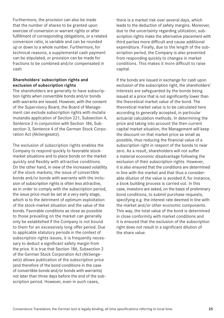Furthermore, the provision can also be made that the number of shares to be granted upon exercise of conversion or warrant rights or after fulfillment of corresponding obligations, or a related conversion ratio, is variable and can be rounded up or down to a whole number. Furthermore, for technical reasons, a supplemental cash payment can be stipulated, or provision can be made for fractions to be combined and/or compensated in cash.

#### **Shareholders' subscription rights and exclusion of subscription rights**

The shareholders are generally to have subscription rights when convertible bonds and/or bonds with warrants are issued. However, with the consent of the Supervisory Board, the Board of Management can exclude subscription rights with mutatis mutandis application of Section 221, Subsection 4, Sentence 2 in conjunction with Section 186, Subsection 3, Sentence 4 of the German Stock Corporation Act (Aktiengesetz).

The exclusion of subscription rights enables the Company to respond quickly to favorable stockmarket situations and to place bonds on the market quickly and flexibly with attractive conditions. On the other hand, in view of the increased volatility of the stock markets, the issue of convertible bonds and/or bonds with warrants with the inclusion of subscription rights is often less attractive, as in order to comply with the subscription period, the issue price must be set at a very early stage, which is to the detriment of optimum exploitation of the stock-market situation and the value of the bonds. Favorable conditions as close as possible to those prevailing on the market can generally only be established if the Company is not bound to them for an excessively long offer period. Due to applicable statutory periods in the context of subscription rights issues, it is frequently necessary to deduct a significant safety margin from the price. It is true that Section 186, Subsection 2 of the German Stock Corporation Act (Aktiengesetz) allows publication of the subscription price (and therefore of the bond conditions in the case of convertible bonds and/or bonds with warrants) not later than three days before the end of the subscription period. However, even in such cases,

there is a market risk over several days, which leads to the deduction of safety margins. Moreover, due to the uncertainty regarding utilization, subscription rights make the alternative placement with third parties more difficult and cause additional expenditure. Finally, due to the length of the subscription period, the Company is also prevented from responding quickly to changes in market conditions. This makes it more difficult to raise capital.

If the bonds are issued in exchange for cash upon exclusion of the subscription right, the shareholders' interests are safeguarded by the bonds being issued at a price that is not significantly lower than the theoretical market value of the bond. The theoretical market value is to be calculated here according to generally accepted, in particular actuarial calculation methods. In determining the price and taking into account the then current capital market situation, the Management will keep the discount on that market price as small as possible, thus reducing the financial value of a subscription right in respect of the bonds to near zero. As a result, shareholders will not suffer a material economic disadvantage following the exclusion of their subscription rights. However, it is also ensured that the conditions are determined in line with the market and that thus a considerable dilution of the value is avoided if, for instance, a book building process is carried out. In this case, investors are asked, on the basis of preliminary bond conditions, to submit purchase requests, specifying e.g. the interest rate deemed in line with the market and/or other economic components. This way, the total value of the bond is determined in close conformity with market conditions and it is ensured that the exclusion of the subscription right does not result in a significant dilution of the share value.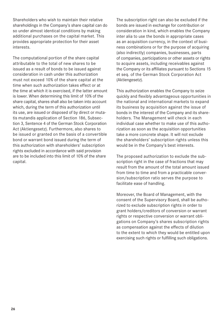Shareholders who wish to maintain their relative shareholdings in the Company's share capital can do so under almost identical conditions by making additional purchases on the capital market. This provides appropriate protection for their asset interests.

The computational portion of the share capital attributable to the total of new shares to be issued as a result of bonds to be issued against consideration in cash under this authorization must not exceed 10% of the share capital at the time when such authorization takes effect or at the time at which it is exercised, if the latter amount is lower. When determining this limit of 10% of the share capital, shares shall also be taken into account which, during the term of this authorization until its use, are issued or disposed of by direct or mutatis mutandis application of Section 186, Subsection 3, Sentence 4 of the German Stock Corporation Act (Aktiengesetz). Furthermore, also shares to be issued or granted on the basis of a convertible bond or warrant bond issued during the term of this authorization with shareholders' subscription rights excluded in accordance with said provision are to be included into this limit of 10% of the share capital.

The subscription right can also be excluded if the bonds are issued in exchange for contribution or consideration in kind, which enables the Company inter alia to use the bonds in appropriate cases as an acquisition currency, in the context of business combinations or for the purpose of acquiring (also indirectly) companies, businesses, parts of companies, participations or other assets or rights to acquire assets, including receivables against the Company or its affiliates pursuant to Sections 15 et seq. of the German Stock Corporation Act (Aktiengesetz).

This authorization enables the Company to seize quickly and flexibly advantageous opportunities in the national and international markets to expand its business by acquisition against the issue of bonds in the interest of the Company and its shareholders. The Management will check in each individual case whether to make use of this authorization as soon as the acquisition opportunities take a more concrete shape. It will not exclude the shareholders' subscription rights unless this would be in the Company's best interests.

The proposed authorization to exclude the subscription right in the case of fractions that may result from the amount of the total amount issued from time to time and from a practicable conversion/subscription ratio serves the purpose to facilitate ease of handling.

Moreover, the Board of Management, with the consent of the Supervisory Board, shall be authorized to exclude subscription rights in order to grant holders/creditors of conversion or warrant rights or respective conversion or warrant obligations on Company's shares subscription rights as compensation against the effects of dilution to the extent to which they would be entitled upon exercising such rights or fulfilling such obligations.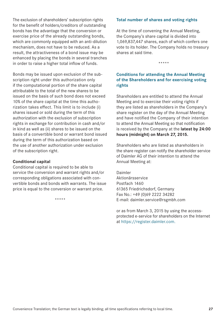<span id="page-25-0"></span>The exclusion of shareholders' subscription rights for the benefit of holders/creditors of outstanding bonds has the advantage that the conversion or exercise price of the already outstanding bonds, which are commonly equipped with an anti-dilution mechanism, does not have to be reduced. As a result, the attractiveness of a bond issue may be enhanced by placing the bonds in several tranches in order to raise a higher total inflow of funds.

Bonds may be issued upon exclusion of the subscription right under this authorization only if the computational portion of the share capital attributable to the total of the new shares to be issued on the basis of such bond does not exceed 10% of the share capital at the time this authorization takes effect. This limit is to include (i) shares issued or sold during the term of this authorization with the exclusion of subscription rights in exchange for contribution in cash and/or in kind as well as (ii) shares to be issued on the basis of a convertible bond or warrant bond issued during the term of this authorization based on the use of another authorization under exclusion of the subscription right.

#### **Conditional capital**

Conditional capital is required to be able to service the conversion and warrant rights and/or corresponding obligations associated with convertible bonds and bonds with warrants. The issue price is equal to the conversion or warrant price.

\*\*\*\*\*

#### **Total number of shares and voting rights**

At the time of convening the Annual Meeting, the Company's share capital is divided into 1,069,837,447 shares, each of which confers one vote to its holder. The Company holds no treasury shares at said time.

\*\*\*\*\*

#### **Conditions for attending the Annual Meeting of the Shareholders and for exercising voting rights**

Shareholders are entitled to attend the Annual Meeting and to exercise their voting rights if they are listed as shareholders in the Company's share register on the day of the Annual Meeting and have notified the Company of their intention to attend the Annual Meeting so that notification is received by the Company at the **latest by 24:00 hours (midnight) on March 27, 2015.**

Shareholders who are listed as shareholders in the share register can notify the shareholder service of Daimler AG of their intention to attend the Annual Meeting at:

Daimler Aktionärsservice Postfach 1460 61365 Friedrichsdorf, Germany Fax No.: +49 (0)69 2222 34282 E-mail: daimler.service@rsgmbh.com

or as from March 3, 2015 by using the accessprotected e-service for shareholders on the Internet at https://register.daimler.com.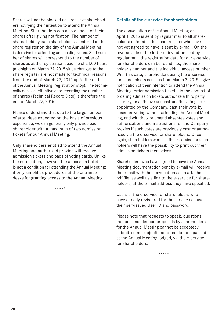<span id="page-26-0"></span>Shares will not be blocked as a result of shareholders notifying their intention to attend the Annual Meeting. Shareholders can also dispose of their shares after giving notification. The number of shares held by each shareholder as entered in the share register on the day of the Annual Meeting is decisive for attending and casting votes. Said number of shares will correspond to the number of shares as at the registration deadline of 24:00 hours (midnight) on March 27, 2015 since changes to the share register are not made for technical reasons from the end of March 27, 2015 up to the end of the Annual Meeting (registration stop). The technically decisive effective date regarding the number of shares (Technical Record Date) is therefore the end of March 27, 2015.

Please understand that due to the large number of attendees expected on the basis of previous experience, we can generally only provide each shareholder with a maximum of two admission tickets for our Annual Meeting.

Only shareholders entitled to attend the Annual Meeting and authorized proxies will receive admission tickets and pads of voting cards. Unlike the notification, however, the admission ticket is not a condition for attending the Annual Meeting; it only simplifies procedures at the entrance desks for granting access to the Annual Meeting.

\*\*\*\*\*

#### **Details of the e-service for shareholders**

The convocation of the Annual Meeting on April 1, 2015 is sent by regular mail to all shareholders entered in the share register who have not yet agreed to have it sent by e-mail. On the reverse side of the letter of invitation sent by regular mail, the registration data for our e-service for shareholders can be found, i.e., the shareholder's number and the individual access number. With this data, shareholders using the e-service for shareholders can – as from March 3, 2015 – give notification of their intention to attend the Annual Meeting, order admission tickets, in the context of ordering admission tickets authorize a third party as proxy, or authorize and instruct the voting proxies appointed by the Company, cast their vote by absentee voting without attending the Annual Meeting, and withdraw or amend absentee votes and authorizations and instructions for the Company proxies if such votes are previously cast or authorized via the e-service for shareholders. Once again, shareholders who use the e-service for shareholders will have the possibility to print out their admission tickets themselves.

Shareholders who have agreed to have the Annual Meeting documentation sent by e-mail will receive the e-mail with the convocation as an attached pdf file, as well as a link to the e-service for shareholders, at the e-mail address they have specified.

Users of the e-service for shareholders who have already registered for the service can use their self-issued User ID and password.

Please note that requests to speak, questions, motions and election proposals by shareholders for the Annual Meeting cannot be accepted/ submitted nor objections to resolutions passed at the Annual Meeting lodged, via the e-service for shareholders.

\*\*\*\*\*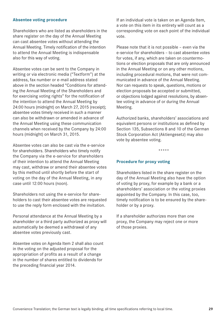#### <span id="page-27-0"></span>**Absentee voting procedure**

Shareholders who are listed as shareholders in the share register on the day of the Annual Meeting can cast absentee votes without attending the Annual Meeting. Timely notification of the intention to attend the Annual Meeting is indispensable also for this way of voting.

Absentee votes can be sent to the Company in writing or via electronic media ("Textform") at the address, fax number or e-mail address stated above in the section headed "Conditions for attending the Annual Meeting of the Shareholders and for exercising voting rights" for the notification of the intention to attend the Annual Meeting by 24:00 hours (midnight) on March 27, 2015 (receipt); absentee votes timely received in such a manner can also be withdrawn or amended in advance of the Annual Meeting using these communication channels when received by the Company by 24:00 hours (midnight) on March 31, 2015.

Absentee votes can also be cast via the e-service for shareholders. Shareholders who timely notify the Company via the e-service for shareholders of their intention to attend the Annual Meeting may cast, withdraw or amend their absentee votes by this method until shortly before the start of voting on the day of the Annual Meeting, in any case until 12:00 hours (noon).

Shareholders not using the e-service for shareholders to cast their absentee votes are requested to use the reply form enclosed with the invitation.

Personal attendance at the Annual Meeting by a shareholder or a third party authorized as proxy will automatically be deemed a withdrawal of any absentee votes previously cast.

Absentee votes on Agenda Item 2 shall also count in the voting on the adjusted proposal for the appropriation of profits as a result of a change in the number of shares entitled to dividends for the preceding financial year 2014.

If an individual vote is taken on an Agenda Item, a vote on this item in its entirety will count as a corresponding vote on each point of the individual vote.

Please note that it is not possible – even via the e-service for shareholders – to cast absentee votes for votes, if any, which are taken on countermotions or election proposals that are only announced in the Annual Meeting or on any other motions, including procedural motions, that were not communicated in advance of the Annual Meeting. Nor can requests to speak, questions, motions or election proposals be accepted or submitted, or objections lodged against resolutions, by absentee voting in advance of or during the Annual Meeting.

Authorized banks, shareholders' associations and equivalent persons or institutions as defined by Section 135, Subsections 8 and 10 of the German Stock Corporation Act (Aktiengesetz) may also vote by absentee voting.

\*\*\*\*\*

#### **Procedure for proxy voting**

Shareholders listed in the share register on the day of the Annual Meeting also have the option of voting by proxy, for example by a bank or a shareholders' association or the voting proxies appointed by the Company. In this case, too, timely notification is to be ensured by the shareholder or by a proxy.

If a shareholder authorizes more than one proxy, the Company may reject one or more of those proxies.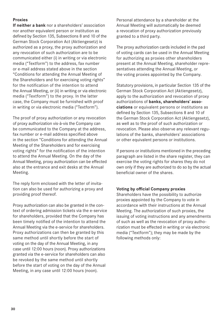#### **Proxies**

**If neither a bank** nor a shareholders' association nor another equivalent person or institution as defined by Section 135, Subsections 8 and 10 of the German Stock Corporation Act (Aktiengesetz) is authorized as a proxy, the proxy authorization and any revocation of such authorization are to be communicated either (i) in writing or via electronic media ("Textform") to the address, fax number or e-mail address stated above in the section "Conditions for attending the Annual Meeting of the Shareholders and for exercising voting rights" for the notification of the intention to attend the Annual Meeting, or (ii) in writing or via electronic media ("Textform") to the proxy. In the latter case, the Company must be furnished with proof in writing or via electronic media ("Textform").

The proof of proxy authorization or any revocation of proxy authorization vis-à-vis the Company can be communicated to the Company at the address, fax number or e-mail address specified above in the section "Conditions for attending the Annual Meeting of the Shareholders and for exercising voting rights" for the notification of the intention to attend the Annual Meeting. On the day of the Annual Meeting, proxy authorization can be effected also at the entrance and exit desks at the Annual Meeting.

The reply form enclosed with the letter of invitation can also be used for authorizing a proxy and providing proof thereof.

Proxy authorization can also be granted in the context of ordering admission tickets via the e-service for shareholders, provided that the Company has been timely notified of the intention to attend the Annual Meeting via the e-service for shareholders. Proxy authorizations can then be granted by this same method until shortly before the start of voting on the day of the Annual Meeting, in any case until 12:00 hours (noon). Proxy authorizations granted via the e-service for shareholders can also be revoked by the same method until shortly before the start of voting on the day of the Annual Meeting, in any case until 12:00 hours (noon).

Personal attendance by a shareholder at the Annual Meeting will automatically be deemed a revocation of proxy authorization previously granted to a third party.

The proxy authorization cards included in the pad of voting cards can be used in the Annual Meeting for authorizing as proxies other shareholders present at the Annual Meeting, shareholder representatives attending the Annual Meeting, or the voting proxies appointed by the Company.

Statutory provisions, in particular Section 135 of the German Stock Corporation Act (Aktiengesetz), apply to the authorization and revocation of proxy authorizations of **banks, shareholders' associations** or equivalent persons or institutions as defined by Section 135, Subsections 8 and 10 of the German Stock Corporation Act (Aktiengesetz), as well as to the proof of such authorization or revocation. Please also observe any relevant regulations of the banks, shareholders' associations or other equivalent persons or institutions.

If persons or institutions mentioned in the preceding paragraph are listed in the share register, they can exercise the voting rights for shares they do not own only if they are authorized to do so by the actual beneficial owner of the shares.

#### **Voting by official Company proxies**

Shareholders have the possibility to authorize proxies appointed by the Company to vote in accordance with their instructions at the Annual Meeting. The authorization of such proxies, the issuing of voting instructions and any amendments of such as well as the revocation of proxy authorization must be effected in writing or via electronic media ("Textform"); they may be made by the following methods only: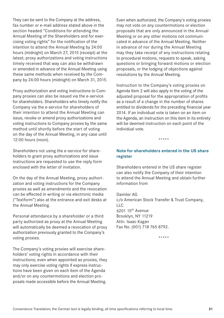<span id="page-29-0"></span>They can be sent to the Company at the address, fax number or e-mail address stated above in the section headed "Conditions for attending the Annual Meeting of the Shareholders and for exercising voting rights" for the notification of the intention to attend the Annual Meeting by 24:00 hours (midnight) on March 27, 2015 (receipt) at the latest; proxy authorizations and voting instructions timely received that way can also be withdrawn or amended in advance of the Annual Meeting using these same methods when received by the Company by 24:00 hours (midnight) on March 31, 2015.

Proxy authorization and voting instructions to Company proxies can also be issued via the e-service for shareholders. Shareholders who timely notify the Company via the e-service for shareholders of their intention to attend the Annual Meeting can issue, revoke or amend proxy authorizations and voting instructions to Company proxies by the same method until shortly before the start of voting on the day of the Annual Meeting, in any case until 12:00 hours (noon).

Shareholders not using the e-service for shareholders to grant proxy authorizations and issue instructions are requested to use the reply form enclosed with the letter of invitation.

On the day of the Annual Meeting, proxy authorization and voting instructions for the Company proxies as well as amendments and the revocation can be effected in writing or via electronic media ("Textform") also at the entrance and exit desks at the Annual Meeting.

Personal attendance by a shareholder or a third party authorized as proxy at the Annual Meeting will automatically be deemed a revocation of proxy authorization previously granted to the Company's voting proxies.

The Company's voting proxies will exercise shareholders' voting rights in accordance with their instructions; even when appointed as proxies, they may only exercise voting rights if express instructions have been given on each item of the Agenda and/or on any countermotions and election proposals made accessible before the Annual Meeting.

Even when authorized, the Company's voting proxies may not vote on any countermotions or election proposals that are only announced in the Annual Meeting or on any other motions not communicated in advance of the Annual Meeting. Neither in advance of nor during the Annual Meeting may they take receipt of any instructions relating to procedural motions, requests to speak, asking questions or bringing forward motions or election proposals, or the lodging of objections against resolutions by the Annual Meeting.

Instruction to the Company's voting proxies on Agenda Item 2 will also apply in the voting of the adjusted proposal for the appropriation of profits as a result of a change in the number of shares entitled to dividends for the preceding financial year 2014. If an individual vote is taken on an item on the Agenda, an instruction on this item in its entirety will be deemed instruction on each point of the individual vote.

\*\*\*\*\*

#### **Note for shareholders entered in the US share register**

Shareholders entered in the US share register can also notify the Company of their intention to attend the Annual Meeting and obtain further information from

Daimler AG c/o American Stock Transfer & Trust Company,  $\overline{L}$ 6201 15th Avenue Brooklyn, NY 11219 Attn. Isaac Kagan Fax No. (001) 718 765 8792.

\*\*\*\*\*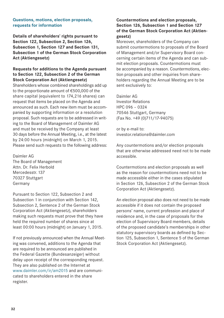#### <span id="page-30-0"></span>**Questions, motions, election proposals, requests for information**

**Details of shareholders' rights pursuant to Section 122, Subsection 2, Section 126, Subsection 1, Section 127 and Section 131, Subsection 1 of the German Stock Corporation Act (Aktiengesetz)**

#### **Requests for additions to the Agenda pursuant to Section 122, Subsection 2 of the German Stock Corporation Act (Aktiengesetz)**

Shareholders whose combined shareholdings add up to the proportionate amount of €500,000 of the share capital (equivalent to 174,216 shares) can request that items be placed on the Agenda and announced as such. Each new item must be accompanied by supporting information or a resolution proposal. Such requests are to be addressed in writing to the Board of Management of Daimler AG and must be received by the Company at least 30 days before the Annual Meeting, i.e., at the latest by 24:00 hours (midnight) on March 1, 2015. Please send such requests to the following address:

Daimler AG The Board of Management Attn. Dr. Felix Herbold Mercedesstr.137 70327 Stuttgart Germany

Pursuant to Section 122, Subsection 2 and Subsection 1 in conjunction with Section 142, Subsection 2, Sentence 2 of the German Stock Corporation Act (Aktiengesetz), shareholders making such requests must prove that they have held the required number of shares since at least 00:00 hours (midnight) on January 1, 2015.

If not previously announced when the Annual Meeting was convened, additions to the Agenda that are required to be announced are published in the Federal Gazette (Bundesanzeiger) without delay upon receipt of the corresponding request. They are also published on the Internet at www.daimler.com/ir/am2015 and are communicated to shareholders entered in the share register.

#### **Countermotions and election proposals, Section 126, Subsection 1 and Section 127 of the German Stock Corporation Act (Aktiengesetz)**

Moreover, shareholders of the Company can submit countermotions to proposals of the Board of Management and/or Supervisory Board concerning certain items of the Agenda and can submit election proposals. Countermotions must be accompanied by a reason. Countermotions, election proposals and other inquiries from shareholders regarding the Annual Meeting are to be sent exclusively to:

Daimler AG Investor Relations HPC 096 – 0324 70546 Stuttgart, Germany (Fax No. +49 (0)711/17-94075)

or by e-mail to: investor.relations@daimler.com

Any countermotions and/or election proposals that are otherwise addressed need not to be made accessible.

Countermotions and election proposals as well as the reason for countermotions need not to be made accessible either in the cases stipulated in Section 126, Subsection 2 of the German Stock Corporation Act (Aktiengesetz).

An election proposal also does not need to be made accessible if it does not contain the proposed persons' name, current profession and place of residence and, in the case of proposals for the election of Supervisory Board members, details of the proposed candidate's memberships in other statutory supervisory boards as defined by Section 125, Subsection 1, Sentence 5 of the German Stock Corporation Act (Aktiengesetz).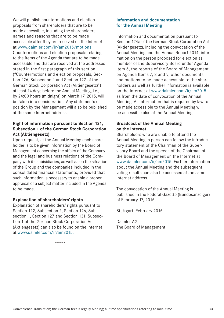<span id="page-31-0"></span>We will publish countermotions and election proposals from shareholders that are to be made accessible, including the shareholders' names and reasons that are to be made accessible after they are received on the Internet at www.daimler.com/ir/am2015/motions. Countermotions and election proposals relating to the items of the Agenda that are to be made accessible and that are received at the addresses stated in the first paragraph of this section ("Countermotions and election proposals, Section 126, Subsection 1 and Section 127 of the German Stock Corporation Act (Aktiengesetz)") at least 14 days before the Annual Meeting, i.e., by 24:00 hours (midnight) on March 17, 2015, will be taken into consideration. Any statements of position by the Management will also be published at the same Internet address.

#### **Right of information pursuant to Section 131, Subsection 1 of the German Stock Corporation Act (Aktiengesetz)**

Upon request, at the Annual Meeting each shareholder is to be given information by the Board of Management concerning the affairs of the Company and the legal and business relations of the Company with its subisidiaries, as well as on the situation of the Group and the companies included in the consolidated financial statements, provided that such information is necessary to enable a proper appraisal of a subject matter included in the Agenda to be made.

#### **Explanation of shareholders' rights**

Explanation of shareholders' rights pursuant to Section 122, Subsection 2, Section 126, Subsection 1, Section 127 and Section 131, Subsection 1 of the German Stock Corporation Act (Aktiengesetz) can also be found on the Internet at www.daimler.com/ir/am2015.

\*\*\*\*\*

#### **Information and documentation for the Annual Meeting**

Information and documentation pursuant to Section 124a of the German Stock Corporation Act (Aktiengesetz), including the convocation of the Annual Meeting and the Annual Report 2014, information on the person proposed for election as member of the Supervisory Board under Agenda Item 6, the reports of the Board of Management on Agenda Items 7, 8 and 9, other documents and motions to be made accessible to the shareholders as well as further information is available on the Internet at www.daimler.com/ir/am2015 as from the date of convocation of the Annual Meeting. All information that is required by law to be made accessible to the Annual Meeting will be accessible also at the Annual Meeting.

#### **Broadcast of the Annual Meeting on the Internet**

Shareholders who are unable to attend the Annual Meeting in person can follow the introductory statement of the Chairman of the Supervisory Board and the speech of the Chairman of the Board of Management on the Internet at www.daimler.com/ir/am2015. Further information about the Annual Meeting and the subsequent voting results can also be accessed at the same Internet address.

The convocation of the Annual Meeting is published in the Federal Gazette (Bundesanzeiger) of February 17, 2015.

Stuttgart, February 2015

Daimler AG The Board of Management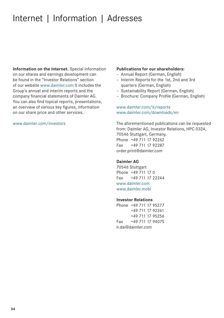# <span id="page-32-0"></span>Internet | Information | Adresses

**Information on the Internet.** Special information on our shares and earnings development can be found in the "Investor Relations" section of our website www.daimler.com It includes the Group's annual and interim reports and the company financial statements of Daimler AG. You can also find topical reports, presentations, an overview of various key figures, information on our share price and other services.

#### www.daimler.com/investors

#### **Publications for our shareholders:**

- Annual Report (German, English)
- Interim Reports for the 1st, 2nd and 3rd quarters (German, English)
- Sustainability Report (German, English)
- Brochure: Company Profile (German, English)

#### www.daimler.com/ir/reports www.daimler.com/downloads/en

The aforementioned publications can be requested from: Daimler AG, Investor Relations, HPC 0324, 70546 Stuttgart, Germany. Phone +49 711 17 92262 Fax +49 711 17 92287 order.print@daimler.com

#### **Daimler AG**

70546 Stuttgart Phone +49 711 17 0 Fax +49 711 17 22244 www.daimler.com www.daimler.mobi

#### **Investor Relations**

Phone +49 711 17 95277 +49 711 17 92261 +49 711 17 95256 Fax +49 711 17 94075 ir.dai@daimler.com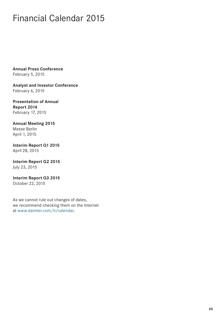## <span id="page-33-0"></span>Financial Calendar 2015

**Annual Press Conference** February 5, 2015

**Analyst and Investor Conference** February 6, 2015

**Presentation of Annual Report 2014** February 17, 2015

**Annual Meeting 2015** Messe Berlin April 1, 2015

**Interim Report Q1 2015** April 28, 2015

**Interim Report Q2 2015** July 23, 2015

**Interim Report Q3 2015** October 22, 2015

As we cannot rule out changes of dates, we recommend checking them on the Internet at www.daimler.com/ir/calendar**.**